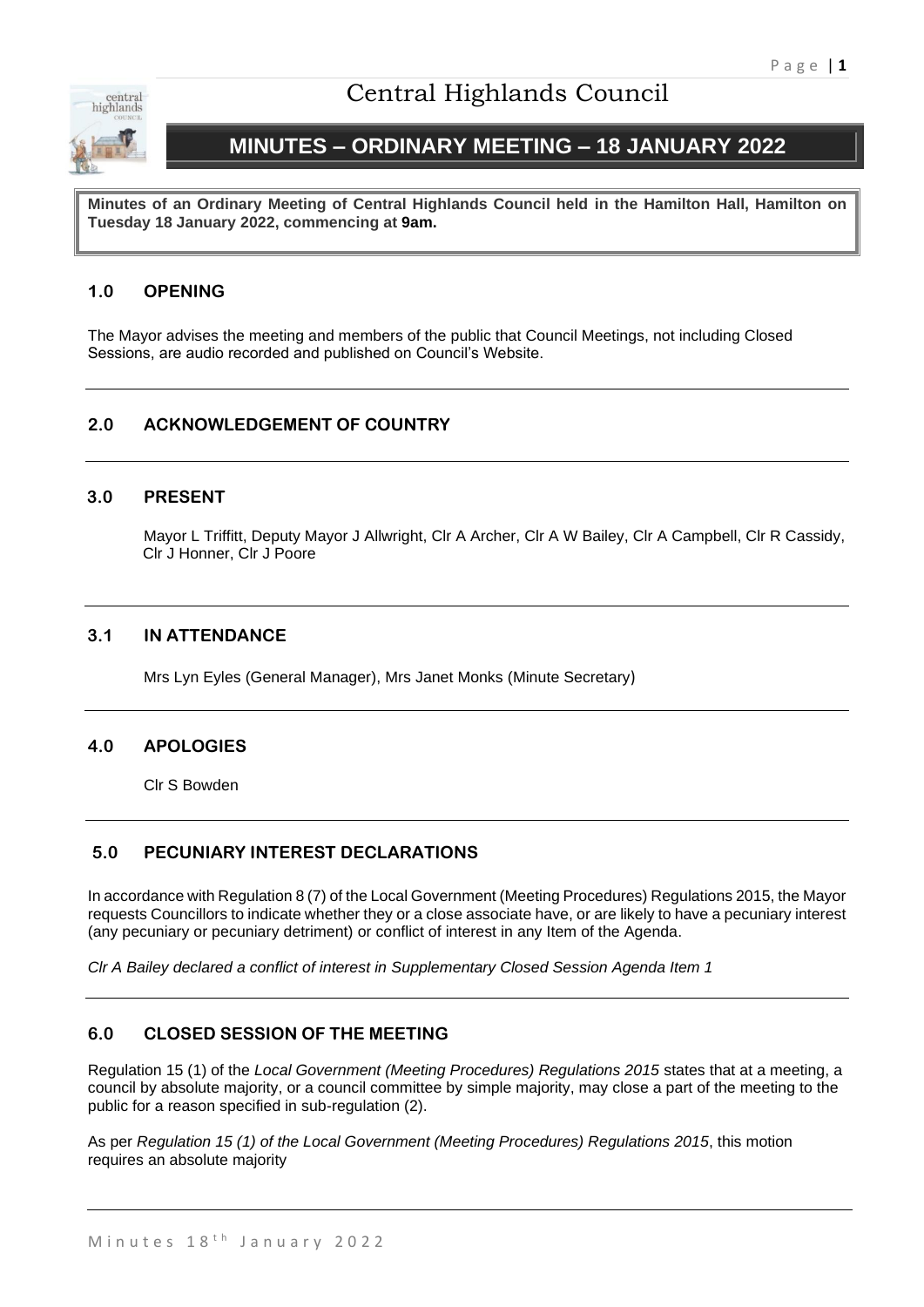

# Central Highlands Council

# **MINUTES – ORDINARY MEETING – 18 JANUARY 2022**

**Minutes of an Ordinary Meeting of Central Highlands Council held in the Hamilton Hall, Hamilton on Tuesday 18 January 2022, commencing at 9am.**

# **1.0 OPENING**

The Mayor advises the meeting and members of the public that Council Meetings, not including Closed Sessions, are audio recorded and published on Council's Website.

# **2.0 ACKNOWLEDGEMENT OF COUNTRY**

#### **3.0 PRESENT**

Mayor L Triffitt, Deputy Mayor J Allwright, Clr A Archer, Clr A W Bailey, Clr A Campbell, Clr R Cassidy, Clr J Honner, Clr J Poore

#### **3.1 IN ATTENDANCE**

Mrs Lyn Eyles (General Manager), Mrs Janet Monks (Minute Secretary)

#### **4.0 APOLOGIES**

Clr S Bowden

#### **5.0 PECUNIARY INTEREST DECLARATIONS**

In accordance with Regulation 8 (7) of the Local Government (Meeting Procedures) Regulations 2015, the Mayor requests Councillors to indicate whether they or a close associate have, or are likely to have a pecuniary interest (any pecuniary or pecuniary detriment) or conflict of interest in any Item of the Agenda.

*Clr A Bailey declared a conflict of interest in Supplementary Closed Session Agenda Item 1*

# **6.0 CLOSED SESSION OF THE MEETING**

Regulation 15 (1) of the *Local Government (Meeting Procedures) Regulations 2015* states that at a meeting, a council by absolute majority, or a council committee by simple majority, may close a part of the meeting to the public for a reason specified in sub-regulation (2).

As per *Regulation 15 (1) of the Local Government (Meeting Procedures) Regulations 2015*, this motion requires an absolute majority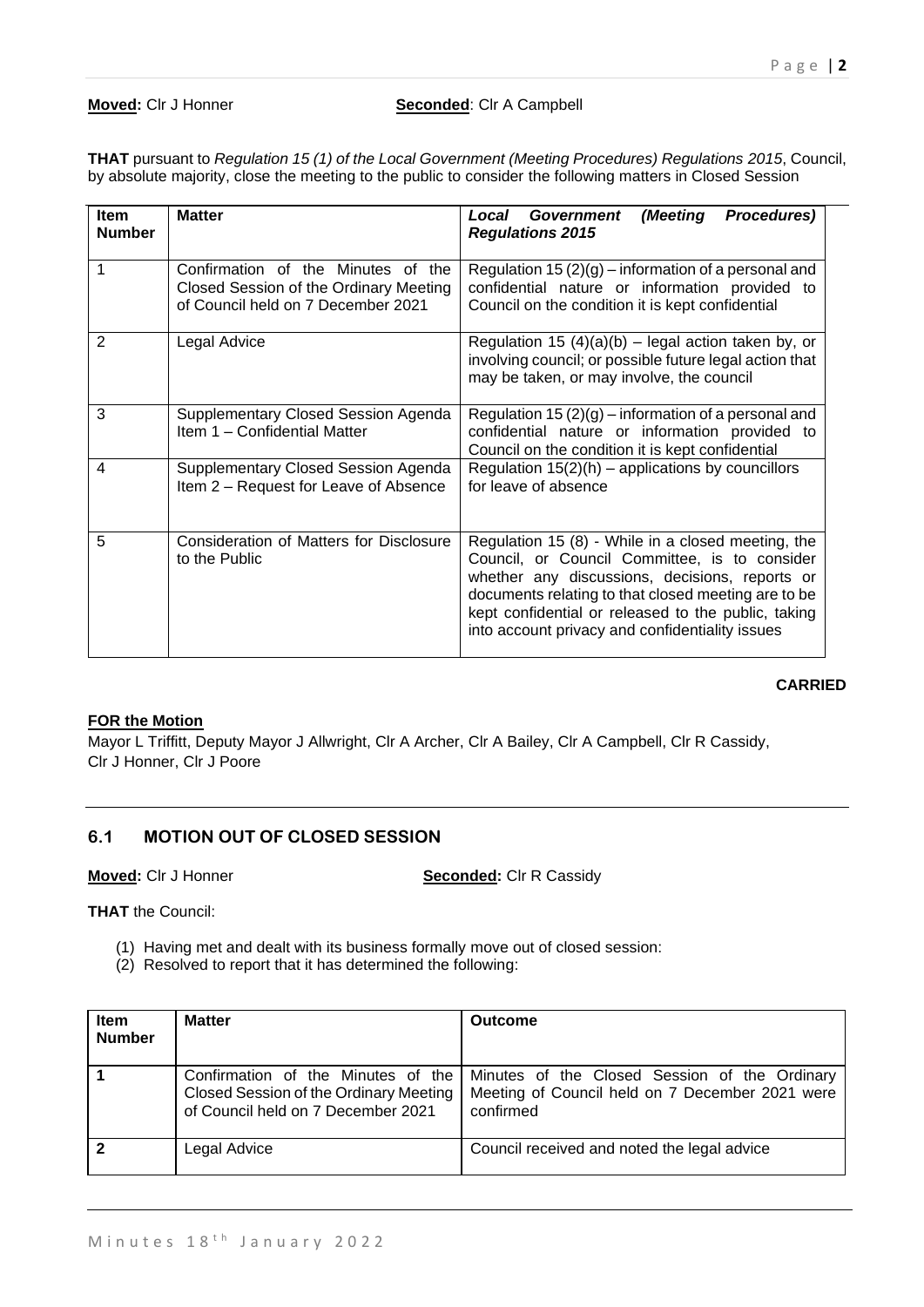#### **Moved:** Cir J Honner **Seconded:** Cir A Campbell

**THAT** pursuant to *Regulation 15 (1) of the Local Government (Meeting Procedures) Regulations 2015*, Council, by absolute majority, close the meeting to the public to consider the following matters in Closed Session

| <b>Item</b><br><b>Number</b> | <b>Matter</b>                                                                                                      | Procedures)<br>(Meeting<br>Local<br>Government<br><b>Regulations 2015</b>                                                                                                                                                                                                                                              |
|------------------------------|--------------------------------------------------------------------------------------------------------------------|------------------------------------------------------------------------------------------------------------------------------------------------------------------------------------------------------------------------------------------------------------------------------------------------------------------------|
| 1                            | Confirmation of the Minutes of the<br>Closed Session of the Ordinary Meeting<br>of Council held on 7 December 2021 | Regulation 15 $(2)(g)$ – information of a personal and<br>confidential nature or information provided to<br>Council on the condition it is kept confidential                                                                                                                                                           |
| $\mathbf{2}$                 | Legal Advice                                                                                                       | Regulation 15 $(4)(a)(b)$ – legal action taken by, or<br>involving council; or possible future legal action that<br>may be taken, or may involve, the council                                                                                                                                                          |
| 3                            | Supplementary Closed Session Agenda<br>Item 1 - Confidential Matter                                                | Regulation 15 $(2)(g)$ – information of a personal and<br>confidential nature or information provided to<br>Council on the condition it is kept confidential                                                                                                                                                           |
| 4                            | Supplementary Closed Session Agenda<br>Item 2 – Request for Leave of Absence                                       | Regulation $15(2)(h)$ – applications by councillors<br>for leave of absence                                                                                                                                                                                                                                            |
| 5                            | Consideration of Matters for Disclosure<br>to the Public                                                           | Regulation 15 (8) - While in a closed meeting, the<br>Council, or Council Committee, is to consider<br>whether any discussions, decisions, reports or<br>documents relating to that closed meeting are to be<br>kept confidential or released to the public, taking<br>into account privacy and confidentiality issues |

#### **CARRIED**

#### **FOR the Motion**

Mayor L Triffitt, Deputy Mayor J Allwright, Clr A Archer, Clr A Bailey, Clr A Campbell, Clr R Cassidy, Clr J Honner, Clr J Poore

# **6.1 MOTION OUT OF CLOSED SESSION**

**Moved:** Clr J Honner **Seconded:** Clr R Cassidy

**THAT** the Council:

- (1) Having met and dealt with its business formally move out of closed session:
- (2) Resolved to report that it has determined the following:

| <b>Item</b><br><b>Number</b> | <b>Matter</b>                                                                                                      | <b>Outcome</b>                                                                                                |
|------------------------------|--------------------------------------------------------------------------------------------------------------------|---------------------------------------------------------------------------------------------------------------|
|                              | Confirmation of the Minutes of the<br>Closed Session of the Ordinary Meeting<br>of Council held on 7 December 2021 | Minutes of the Closed Session of the Ordinary<br>Meeting of Council held on 7 December 2021 were<br>confirmed |
|                              | Legal Advice                                                                                                       | Council received and noted the legal advice                                                                   |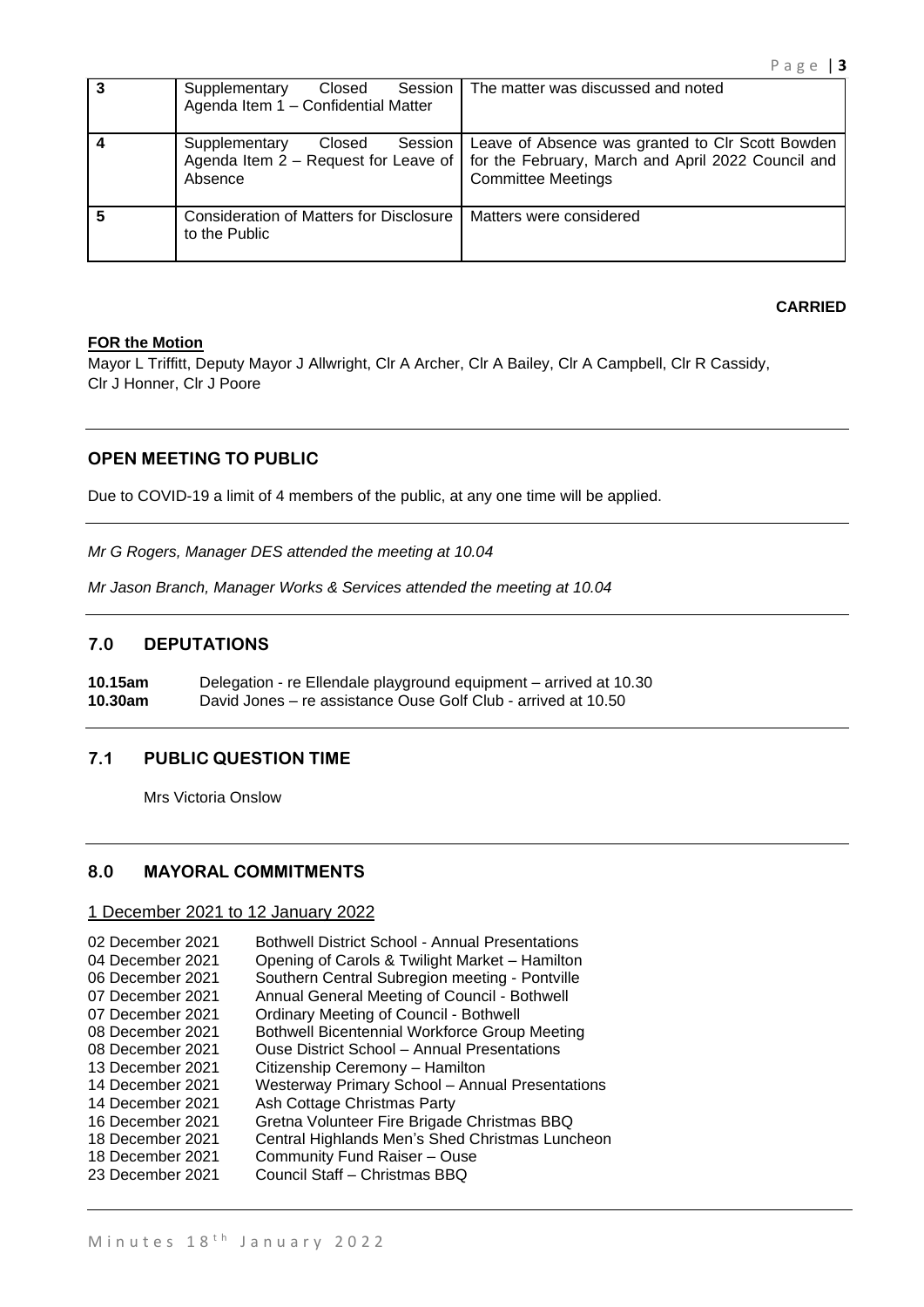|   | Session  <br>Supplementary<br>Closed<br>Agenda Item 1 - Confidential Matter | The matter was discussed and noted                                                                                                                                         |
|---|-----------------------------------------------------------------------------|----------------------------------------------------------------------------------------------------------------------------------------------------------------------------|
|   | Supplementary<br>Session  <br>Closed<br>Absence                             | Leave of Absence was granted to CIr Scott Bowden<br>Agenda Item 2 – Request for Leave of   for the February, March and April 2022 Council and<br><b>Committee Meetings</b> |
| 5 | <b>Consideration of Matters for Disclosure</b><br>to the Public             | Matters were considered                                                                                                                                                    |

#### **CARRIED**

#### **FOR the Motion**

Mayor L Triffitt, Deputy Mayor J Allwright, Clr A Archer, Clr A Bailey, Clr A Campbell, Clr R Cassidy, Clr J Honner, Clr J Poore

# **OPEN MEETING TO PUBLIC**

Due to COVID-19 a limit of 4 members of the public, at any one time will be applied.

*Mr G Rogers, Manager DES attended the meeting at 10.04*

*Mr Jason Branch, Manager Works & Services attended the meeting at 10.04*

# **7.0 DEPUTATIONS**

**10.15am** Delegation - re Ellendale playground equipment – arrived at 10.30 **10.30am** David Jones – re assistance Ouse Golf Club - arrived at 10.50

### **7.1 PUBLIC QUESTION TIME**

Mrs Victoria Onslow

#### **8.0 MAYORAL COMMITMENTS**

#### 1 December 2021 to 12 January 2022

| 02 December 2021 | <b>Bothwell District School - Annual Presentations</b> |
|------------------|--------------------------------------------------------|
| 04 December 2021 | Opening of Carols & Twilight Market - Hamilton         |
| 06 December 2021 | Southern Central Subregion meeting - Pontville         |
| 07 December 2021 | Annual General Meeting of Council - Bothwell           |
| 07 December 2021 | <b>Ordinary Meeting of Council - Bothwell</b>          |
| 08 December 2021 | <b>Bothwell Bicentennial Workforce Group Meeting</b>   |
| 08 December 2021 | Ouse District School – Annual Presentations            |
| 13 December 2021 | Citizenship Ceremony - Hamilton                        |
| 14 December 2021 | <b>Westerway Primary School - Annual Presentations</b> |
| 14 December 2021 | Ash Cottage Christmas Party                            |
| 16 December 2021 | Gretna Volunteer Fire Brigade Christmas BBQ            |
| 18 December 2021 | Central Highlands Men's Shed Christmas Luncheon        |
| 18 December 2021 | Community Fund Raiser - Ouse                           |
| 23 December 2021 | Council Staff - Christmas BBQ                          |
|                  |                                                        |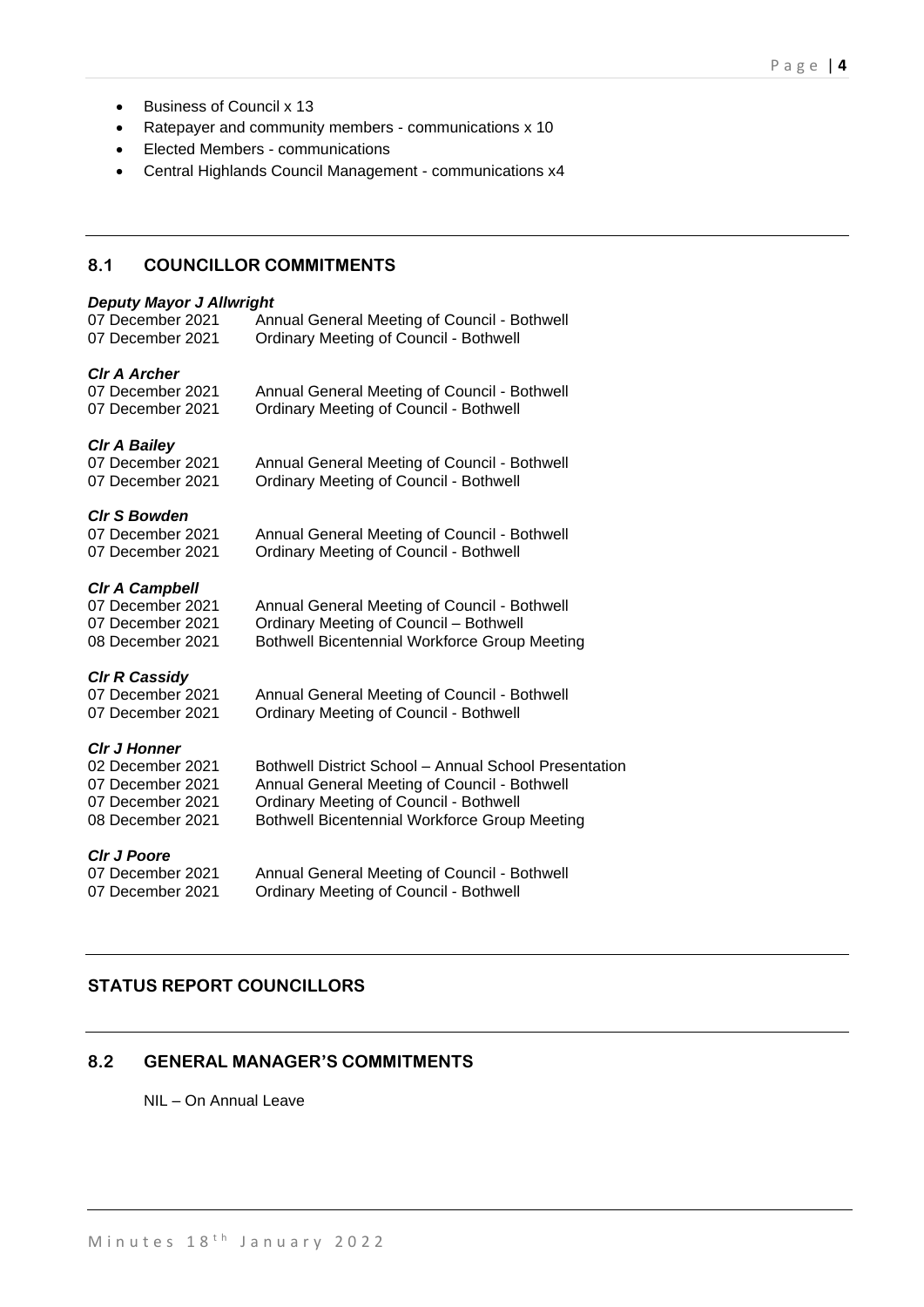- Business of Council x 13
- Ratepayer and community members communications x 10
- Elected Members communications
- Central Highlands Council Management communications x4

# **8.1 COUNCILLOR COMMITMENTS**

#### *Deputy Mayor J Allwright*

| 07 December 2021<br>07 December 2021    | Annual General Meeting of Council - Bothwell<br><b>Ordinary Meeting of Council - Bothwell</b> |
|-----------------------------------------|-----------------------------------------------------------------------------------------------|
| <b>Cir A Archer</b><br>07 December 2021 | Annual General Meeting of Council - Bothwell                                                  |
| 07 December 2021                        | <b>Ordinary Meeting of Council - Bothwell</b>                                                 |
| <b>CIr A Bailey</b>                     |                                                                                               |
| 07 December 2021<br>07 December 2021    | Annual General Meeting of Council - Bothwell<br><b>Ordinary Meeting of Council - Bothwell</b> |
|                                         |                                                                                               |
| <b>CIr S Bowden</b><br>07 December 2021 |                                                                                               |
| 07 December 2021                        | Annual General Meeting of Council - Bothwell<br><b>Ordinary Meeting of Council - Bothwell</b> |
|                                         |                                                                                               |
| <b>CIr A Campbell</b>                   |                                                                                               |
| 07 December 2021                        | Annual General Meeting of Council - Bothwell                                                  |
| 07 December 2021                        | <b>Ordinary Meeting of Council - Bothwell</b>                                                 |
| 08 December 2021                        | <b>Bothwell Bicentennial Workforce Group Meeting</b>                                          |
| <b>CIr R Cassidy</b>                    |                                                                                               |
| 07 December 2021                        | Annual General Meeting of Council - Bothwell                                                  |
| 07 December 2021                        | <b>Ordinary Meeting of Council - Bothwell</b>                                                 |
| <b>CIr J Honner</b>                     |                                                                                               |
| 02 December 2021                        | Bothwell District School - Annual School Presentation                                         |
| 07 December 2021                        | Annual General Meeting of Council - Bothwell                                                  |
| 07 December 2021                        | <b>Ordinary Meeting of Council - Bothwell</b>                                                 |
| 08 December 2021                        | <b>Bothwell Bicentennial Workforce Group Meeting</b>                                          |
| <b>CIr J Poore</b>                      |                                                                                               |
| 07 December 2021                        | Annual General Meeting of Council - Bothwell                                                  |
| 07 December 2021                        | <b>Ordinary Meeting of Council - Bothwell</b>                                                 |
|                                         |                                                                                               |

# **STATUS REPORT COUNCILLORS**

# **8.2 GENERAL MANAGER'S COMMITMENTS**

NIL – On Annual Leave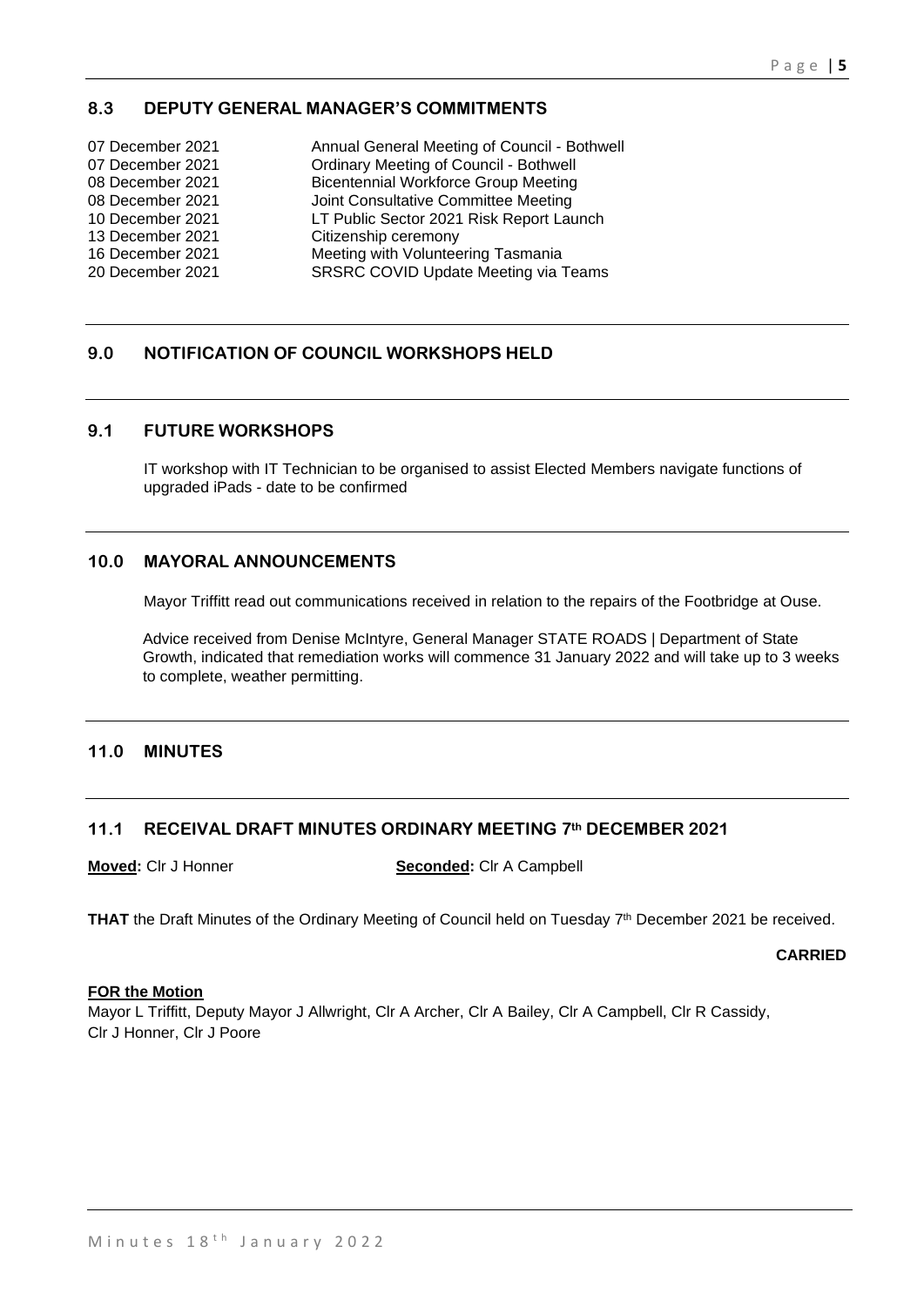# **8.3 DEPUTY GENERAL MANAGER'S COMMITMENTS**

| 07 December 2021 | Annual General Meeting of Council - Bothwell  |
|------------------|-----------------------------------------------|
| 07 December 2021 | <b>Ordinary Meeting of Council - Bothwell</b> |
| 08 December 2021 | <b>Bicentennial Workforce Group Meeting</b>   |
| 08 December 2021 | Joint Consultative Committee Meeting          |
| 10 December 2021 | LT Public Sector 2021 Risk Report Launch      |
| 13 December 2021 | Citizenship ceremony                          |
| 16 December 2021 | Meeting with Volunteering Tasmania            |
| 20 December 2021 | <b>SRSRC COVID Update Meeting via Teams</b>   |
|                  |                                               |

# **9.0 NOTIFICATION OF COUNCIL WORKSHOPS HELD**

#### **9.1 FUTURE WORKSHOPS**

IT workshop with IT Technician to be organised to assist Elected Members navigate functions of upgraded iPads - date to be confirmed

#### **10.0 MAYORAL ANNOUNCEMENTS**

Mayor Triffitt read out communications received in relation to the repairs of the Footbridge at Ouse.

Advice received from Denise McIntyre, General Manager STATE ROADS | Department of State Growth, indicated that remediation works will commence 31 January 2022 and will take up to 3 weeks to complete, weather permitting.

### **11.0 MINUTES**

#### **11.1 RECEIVAL DRAFT MINUTES ORDINARY MEETING 7th DECEMBER 2021**

**Moved:** Clr J Honner **Seconded:** Clr A Campbell

THAT the Draft Minutes of the Ordinary Meeting of Council held on Tuesday 7<sup>th</sup> December 2021 be received.

**CARRIED**

#### **FOR the Motion**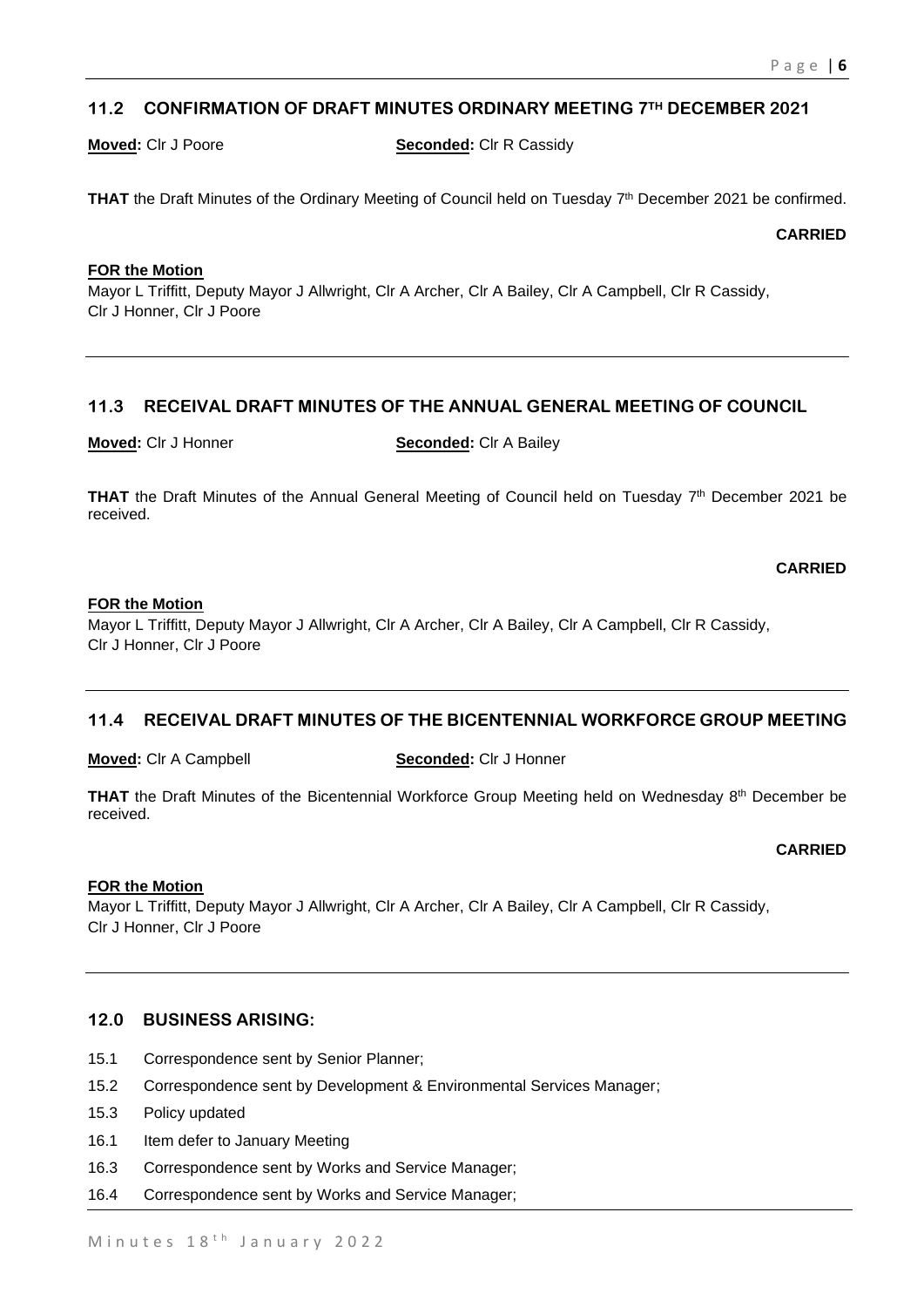# **11.2 CONFIRMATION OF DRAFT MINUTES ORDINARY MEETING 7TH DECEMBER 2021**

**Moved:** Clr J Poore **Seconded:** Clr R Cassidy

**THAT** the Draft Minutes of the Ordinary Meeting of Council held on Tuesday 7<sup>th</sup> December 2021 be confirmed.

**CARRIED**

### **FOR the Motion**

Mayor L Triffitt, Deputy Mayor J Allwright, Clr A Archer, Clr A Bailey, Clr A Campbell, Clr R Cassidy, Clr J Honner, Clr J Poore

# **11.3 RECEIVAL DRAFT MINUTES OF THE ANNUAL GENERAL MEETING OF COUNCIL**

**Moved:** Clr J Honner **Seconded:** Clr A Bailey

**THAT** the Draft Minutes of the Annual General Meeting of Council held on Tuesday  $7<sup>th</sup>$  December 2021 be received.

**CARRIED**

#### **FOR the Motion**

Mayor L Triffitt, Deputy Mayor J Allwright, Clr A Archer, Clr A Bailey, Clr A Campbell, Clr R Cassidy, Clr J Honner, Clr J Poore

# **11.4 RECEIVAL DRAFT MINUTES OF THE BICENTENNIAL WORKFORCE GROUP MEETING**

**Moved:** Clr A Campbell **Seconded:** Clr J Honner

**THAT** the Draft Minutes of the Bicentennial Workforce Group Meeting held on Wednesday 8<sup>th</sup> December be received.

#### **CARRIED**

#### **FOR the Motion**

Mayor L Triffitt, Deputy Mayor J Allwright, Clr A Archer, Clr A Bailey, Clr A Campbell, Clr R Cassidy, Clr J Honner, Clr J Poore

#### **12.0 BUSINESS ARISING:**

- 15.1 Correspondence sent by Senior Planner;
- 15.2 Correspondence sent by Development & Environmental Services Manager;
- 15.3 Policy updated
- 16.1 Item defer to January Meeting
- 16.3 Correspondence sent by Works and Service Manager;
- 16.4 Correspondence sent by Works and Service Manager;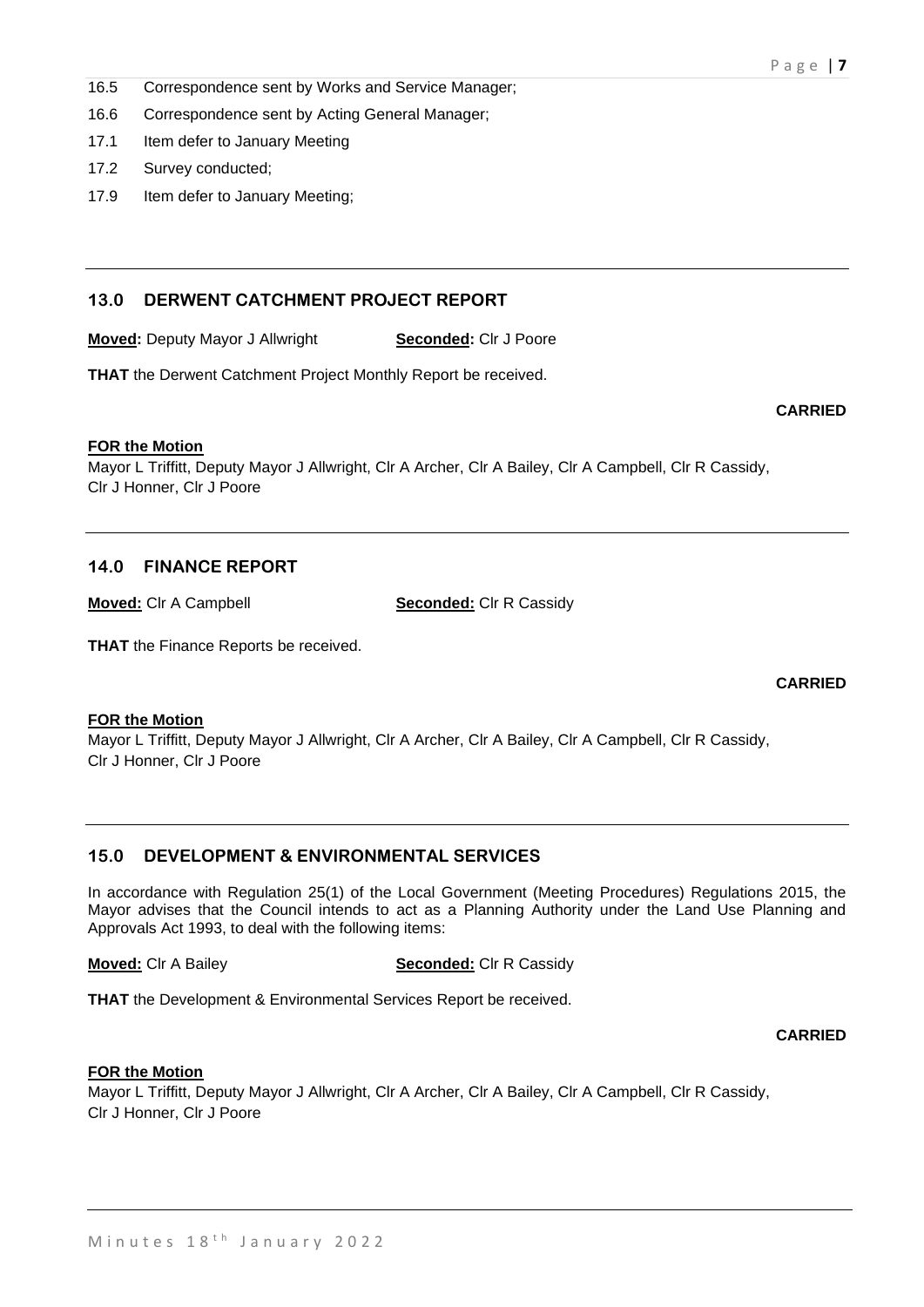- 16.5 Correspondence sent by Works and Service Manager;
- 16.6 Correspondence sent by Acting General Manager;
- 17.1 Item defer to January Meeting
- 17.2 Survey conducted;
- 17.9 Item defer to January Meeting;

# **13.0 DERWENT CATCHMENT PROJECT REPORT**

**Moved:** Deputy Mayor J Allwright **Seconded:** Clr J Poore

**THAT** the Derwent Catchment Project Monthly Report be received.

#### **FOR the Motion**

Mayor L Triffitt, Deputy Mayor J Allwright, Clr A Archer, Clr A Bailey, Clr A Campbell, Clr R Cassidy, Clr J Honner, Clr J Poore

#### **14.0 FINANCE REPORT**

**Moved:** Clr A Campbell **Seconded:** Clr R Cassidy

**THAT** the Finance Reports be received.

**CARRIED**

**CARRIED**

#### **FOR the Motion**

Mayor L Triffitt, Deputy Mayor J Allwright, Clr A Archer, Clr A Bailey, Clr A Campbell, Clr R Cassidy, Clr J Honner, Clr J Poore

### **15.0 DEVELOPMENT & ENVIRONMENTAL SERVICES**

In accordance with Regulation 25(1) of the Local Government (Meeting Procedures) Regulations 2015, the Mayor advises that the Council intends to act as a Planning Authority under the Land Use Planning and Approvals Act 1993, to deal with the following items:

**Moved:** Clr A Bailey **Seconded:** Clr R Cassidy

**THAT** the Development & Environmental Services Report be received.

**CARRIED**

#### **FOR the Motion**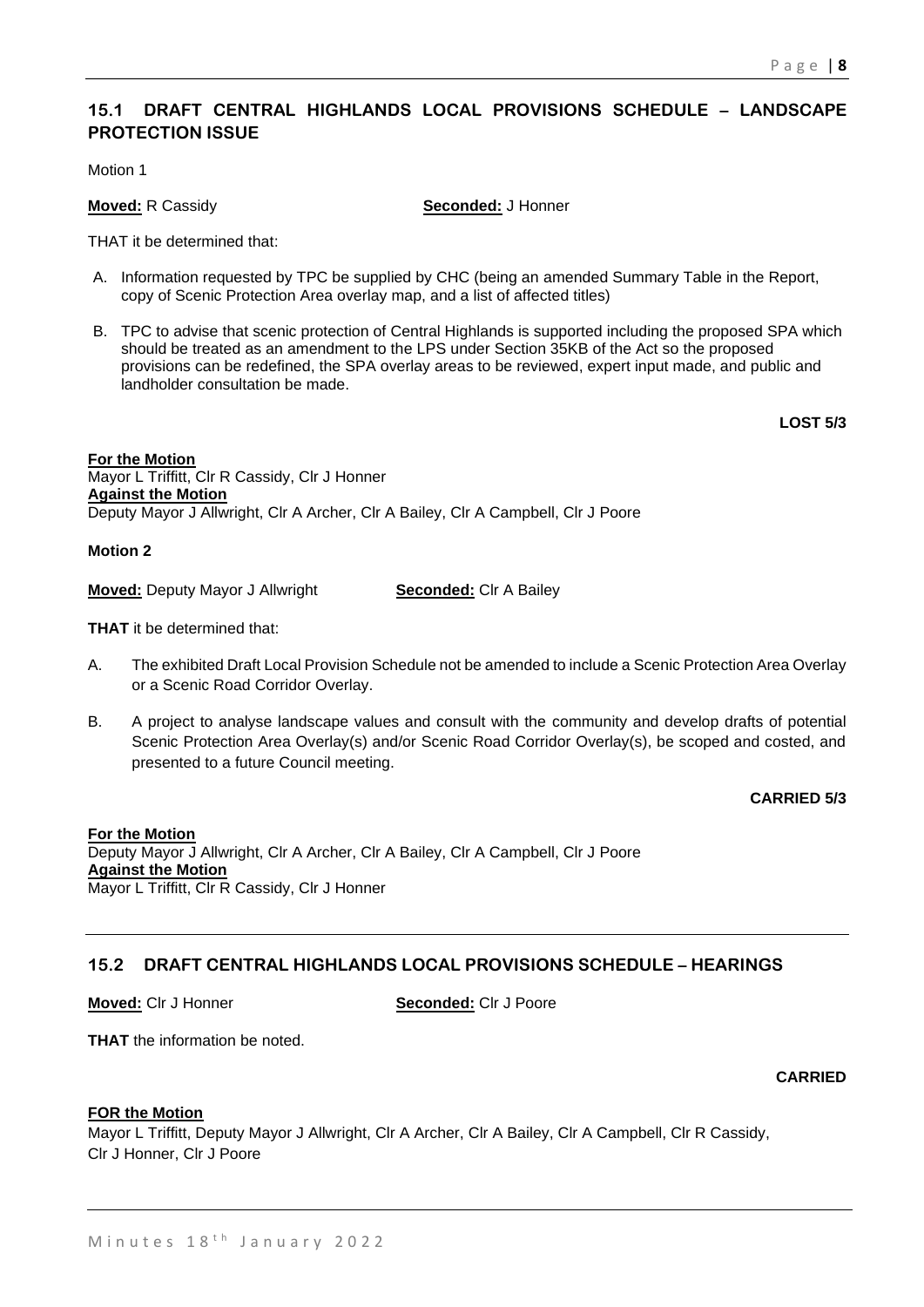# **15.1 DRAFT CENTRAL HIGHLANDS LOCAL PROVISIONS SCHEDULE – LANDSCAPE PROTECTION ISSUE**

Motion 1

**Moved:** R Cassidy **Seconded:** J Honner

THAT it be determined that:

- A. Information requested by TPC be supplied by CHC (being an amended Summary Table in the Report, copy of Scenic Protection Area overlay map, and a list of affected titles)
- B. TPC to advise that scenic protection of Central Highlands is supported including the proposed SPA which should be treated as an amendment to the LPS under Section 35KB of the Act so the proposed provisions can be redefined, the SPA overlay areas to be reviewed, expert input made, and public and landholder consultation be made.

**LOST 5/3**

**For the Motion** Mayor L Triffitt, Clr R Cassidy, Clr J Honner **Against the Motion** Deputy Mayor J Allwright, Clr A Archer, Clr A Bailey, Clr A Campbell, Clr J Poore

**Motion 2**

**Moved:** Deputy Mayor J Allwright **Seconded:** Clr A Bailey

**THAT** it be determined that:

- A. The exhibited Draft Local Provision Schedule not be amended to include a Scenic Protection Area Overlay or a Scenic Road Corridor Overlay.
- B. A project to analyse landscape values and consult with the community and develop drafts of potential Scenic Protection Area Overlay(s) and/or Scenic Road Corridor Overlay(s), be scoped and costed, and presented to a future Council meeting.

**CARRIED 5/3**

**For the Motion** Deputy Mayor J Allwright, Clr A Archer, Clr A Bailey, Clr A Campbell, Clr J Poore **Against the Motion** Mayor L Triffitt, Clr R Cassidy, Clr J Honner

# **15.2 DRAFT CENTRAL HIGHLANDS LOCAL PROVISIONS SCHEDULE – HEARINGS**

**Moved:** Clr J Honner **Seconded:** Clr J Poore

**THAT** the information be noted.

**CARRIED**

#### **FOR the Motion**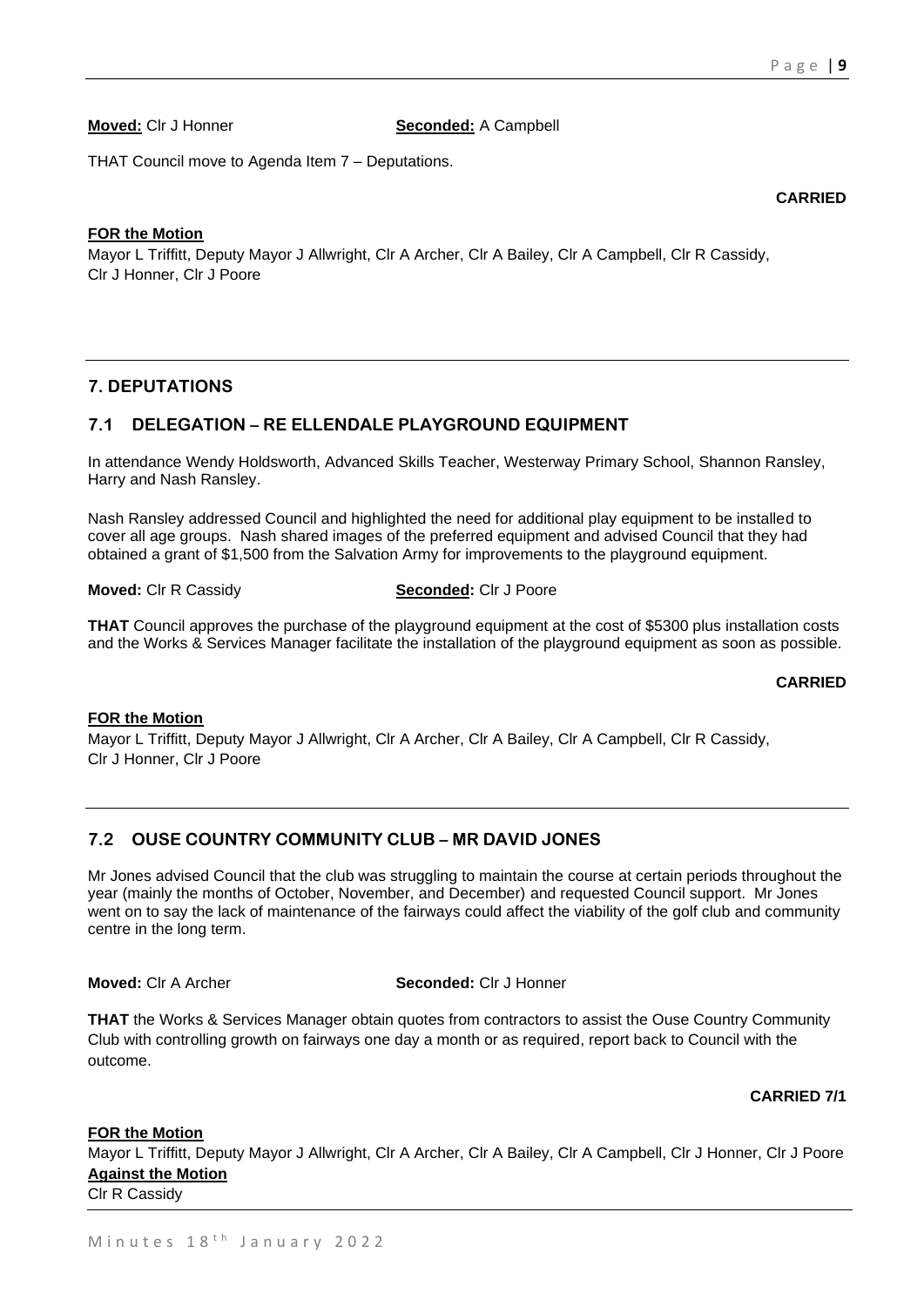**CARRIED**

**Moved:** Clr J Honner **Seconded:** A Campbell

THAT Council move to Agenda Item 7 – Deputations.

#### **FOR the Motion**

Mayor L Triffitt, Deputy Mayor J Allwright, Clr A Archer, Clr A Bailey, Clr A Campbell, Clr R Cassidy, Clr J Honner, Clr J Poore

# **7. DEPUTATIONS**

# **7.1 DELEGATION – RE ELLENDALE PLAYGROUND EQUIPMENT**

In attendance Wendy Holdsworth, Advanced Skills Teacher, Westerway Primary School, Shannon Ransley, Harry and Nash Ransley.

Nash Ransley addressed Council and highlighted the need for additional play equipment to be installed to cover all age groups. Nash shared images of the preferred equipment and advised Council that they had obtained a grant of \$1,500 from the Salvation Army for improvements to the playground equipment.

**Moved:** Clr R Cassidy **Seconded:** Clr J Poore

**THAT** Council approves the purchase of the playground equipment at the cost of \$5300 plus installation costs and the Works & Services Manager facilitate the installation of the playground equipment as soon as possible.

**CARRIED**

#### **FOR the Motion**

Mayor L Triffitt, Deputy Mayor J Allwright, Clr A Archer, Clr A Bailey, Clr A Campbell, Clr R Cassidy, Clr J Honner, Clr J Poore

# **7.2 OUSE COUNTRY COMMUNITY CLUB – MR DAVID JONES**

Mr Jones advised Council that the club was struggling to maintain the course at certain periods throughout the year (mainly the months of October, November, and December) and requested Council support. Mr Jones went on to say the lack of maintenance of the fairways could affect the viability of the golf club and community centre in the long term.

**Moved:** Clr A Archer **Seconded:** Clr J Honner

**THAT** the Works & Services Manager obtain quotes from contractors to assist the Ouse Country Community Club with controlling growth on fairways one day a month or as required, report back to Council with the outcome.

#### **CARRIED 7/1**

#### **FOR the Motion**

Mayor L Triffitt, Deputy Mayor J Allwright, Clr A Archer, Clr A Bailey, Clr A Campbell, Clr J Honner, Clr J Poore **Against the Motion**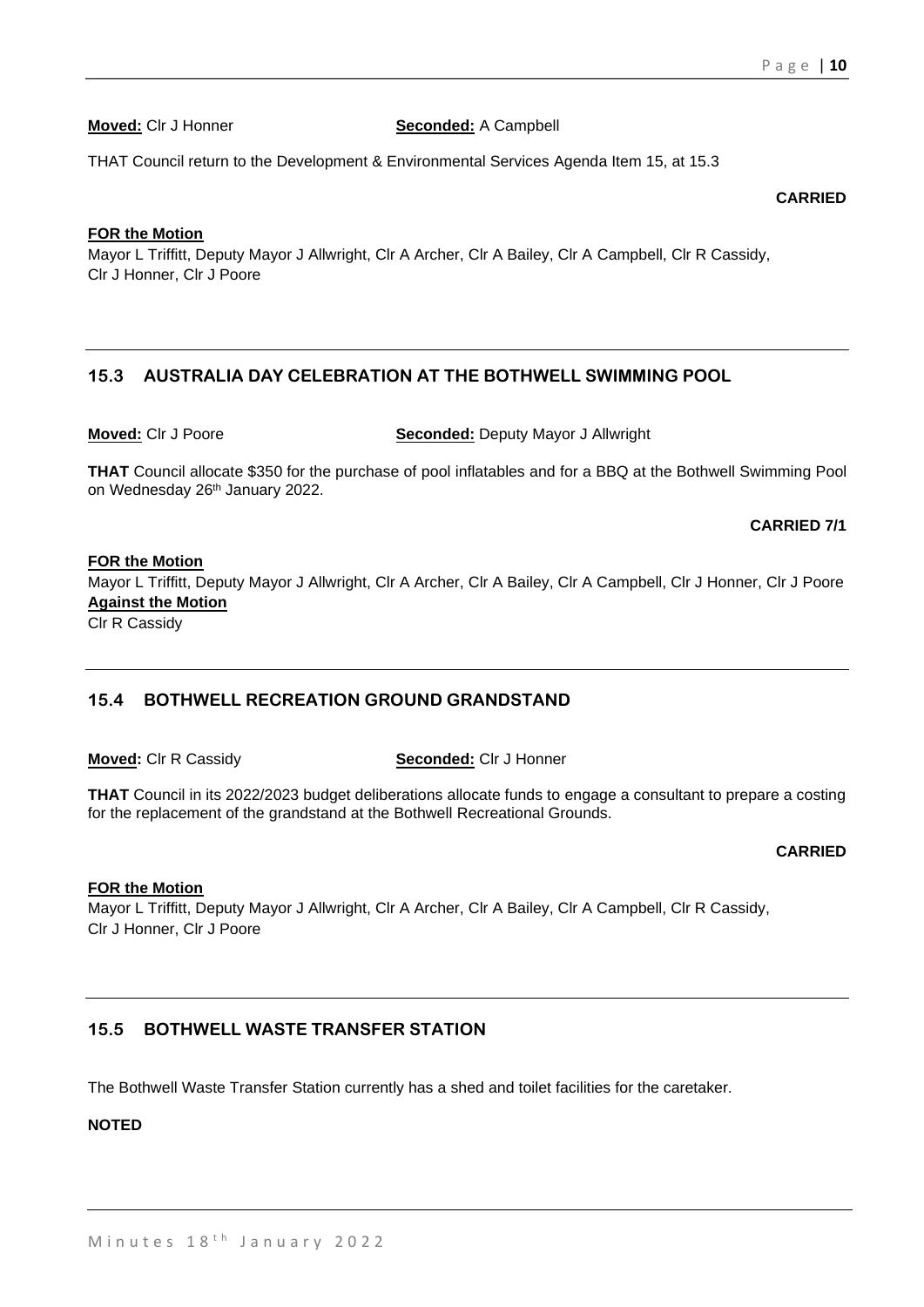**Moved:** Clr J Honner **Seconded:** A Campbell

THAT Council return to the Development & Environmental Services Agenda Item 15, at 15.3

**CARRIED**

#### **FOR the Motion**

Mayor L Triffitt, Deputy Mayor J Allwright, Clr A Archer, Clr A Bailey, Clr A Campbell, Clr R Cassidy, Clr J Honner, Clr J Poore

# **15.3 AUSTRALIA DAY CELEBRATION AT THE BOTHWELL SWIMMING POOL**

**Moved:** Clr J Poore **Seconded:** Deputy Mayor J Allwright

**THAT** Council allocate \$350 for the purchase of pool inflatables and for a BBQ at the Bothwell Swimming Pool on Wednesday 26<sup>th</sup> January 2022.

### **CARRIED 7/1**

#### **FOR the Motion**

Mayor L Triffitt, Deputy Mayor J Allwright, Clr A Archer, Clr A Bailey, Clr A Campbell, Clr J Honner, Clr J Poore **Against the Motion**

Clr R Cassidy

# **15.4 BOTHWELL RECREATION GROUND GRANDSTAND**

**Moved:** Clr R Cassidy **Seconded:** Clr J Honner

**THAT** Council in its 2022/2023 budget deliberations allocate funds to engage a consultant to prepare a costing for the replacement of the grandstand at the Bothwell Recreational Grounds.

#### **CARRIED**

#### **FOR the Motion**

Mayor L Triffitt, Deputy Mayor J Allwright, Clr A Archer, Clr A Bailey, Clr A Campbell, Clr R Cassidy, Clr J Honner, Clr J Poore

# **15.5 BOTHWELL WASTE TRANSFER STATION**

The Bothwell Waste Transfer Station currently has a shed and toilet facilities for the caretaker.

#### **NOTED**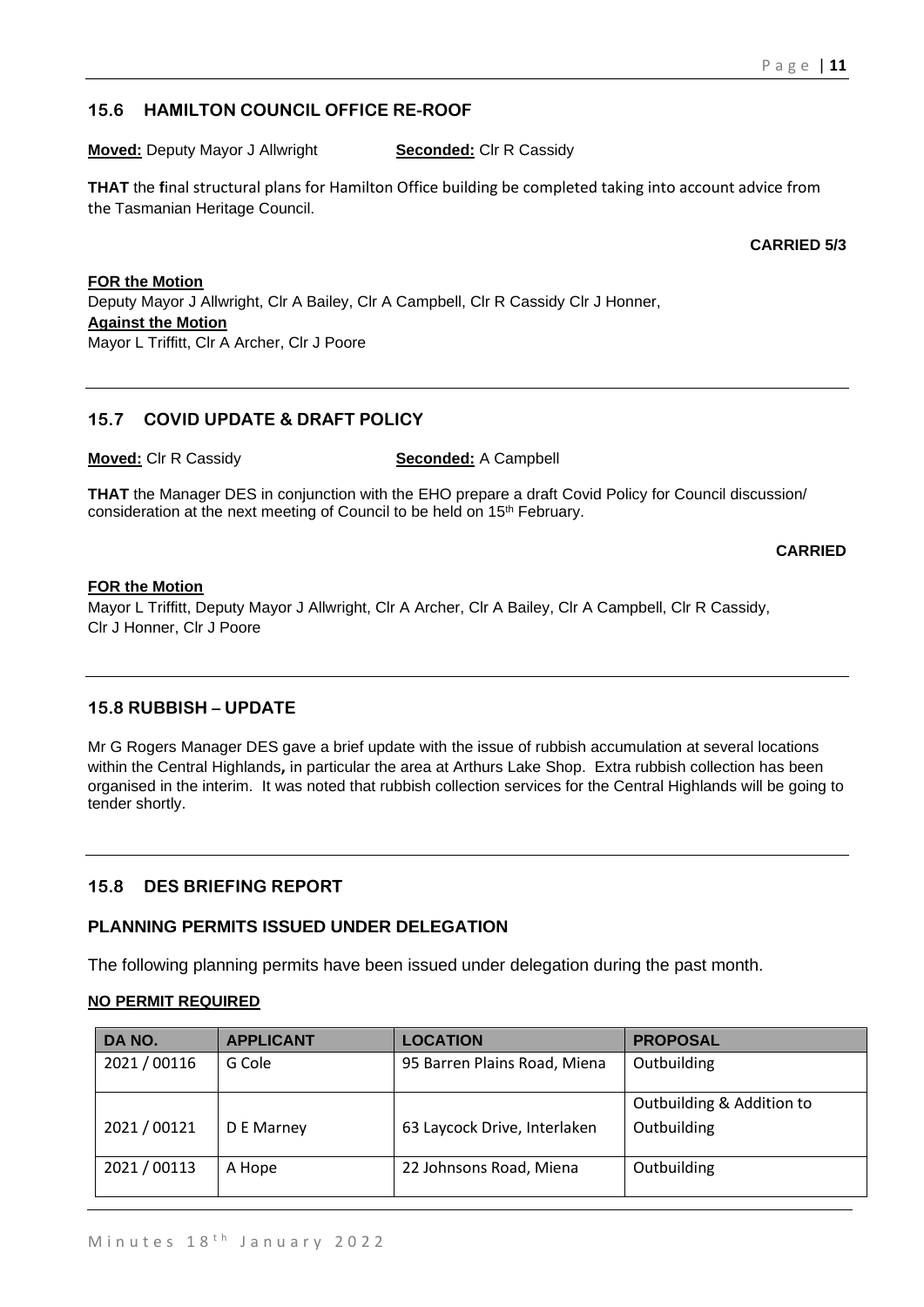# **15.6 HAMILTON COUNCIL OFFICE RE-ROOF**

**Moved:** Deputy Mayor J Allwright **Seconded:** CIr R Cassidy

**THAT** the **f**inal structural plans for Hamilton Office building be completed taking into account advice from the Tasmanian Heritage Council.

**CARRIED 5/3**

#### **FOR the Motion**

Deputy Mayor J Allwright, Clr A Bailey, Clr A Campbell, Clr R Cassidy Clr J Honner, **Against the Motion** Mayor L Triffitt, Clr A Archer, Clr J Poore

# **15.7 COVID UPDATE & DRAFT POLICY**

**Moved:** Clr R Cassidy **Seconded:** A Campbell

**THAT** the Manager DES in conjunction with the EHO prepare a draft Covid Policy for Council discussion/ consideration at the next meeting of Council to be held on 15<sup>th</sup> February.

#### **CARRIED**

#### **FOR the Motion**

Mayor L Triffitt, Deputy Mayor J Allwright, Clr A Archer, Clr A Bailey, Clr A Campbell, Clr R Cassidy, Clr J Honner, Clr J Poore

# **15.8 RUBBISH – UPDATE**

Mr G Rogers Manager DES gave a brief update with the issue of rubbish accumulation at several locations within the Central Highlands**,** in particular the area at Arthurs Lake Shop. Extra rubbish collection has been organised in the interim. It was noted that rubbish collection services for the Central Highlands will be going to tender shortly.

# **15.8 DES BRIEFING REPORT**

#### **PLANNING PERMITS ISSUED UNDER DELEGATION**

The following planning permits have been issued under delegation during the past month.

#### **NO PERMIT REQUIRED**

| DA NO.       | <b>APPLICANT</b> | <b>LOCATION</b>              | <b>PROPOSAL</b>                          |
|--------------|------------------|------------------------------|------------------------------------------|
| 2021 / 00116 | G Cole           | 95 Barren Plains Road, Miena | Outbuilding                              |
| 2021/00121   | D E Marney       | 63 Laycock Drive, Interlaken | Outbuilding & Addition to<br>Outbuilding |
| 2021 / 00113 | A Hope           | 22 Johnsons Road, Miena      | Outbuilding                              |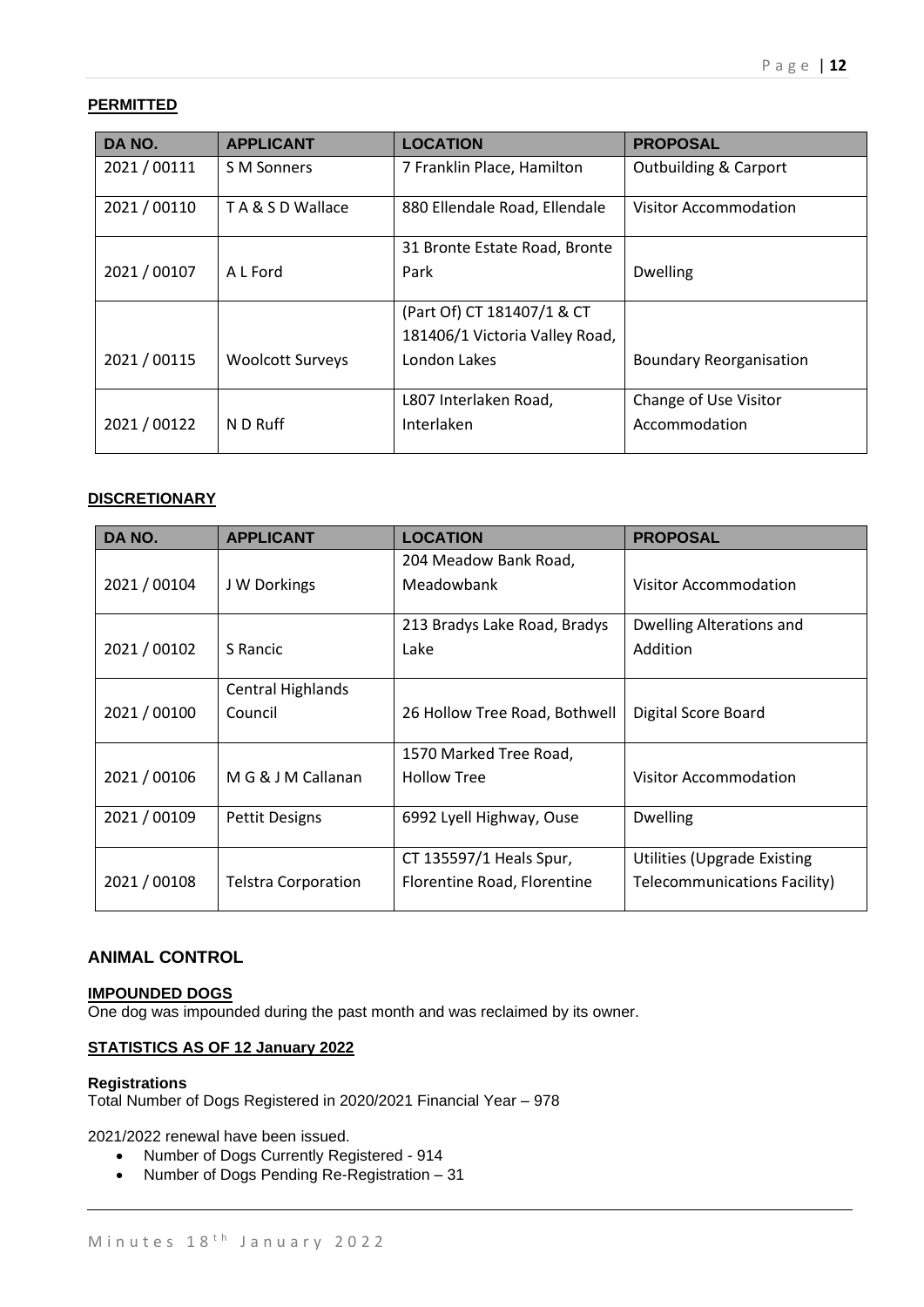# **PERMITTED**

| DA NO.       | <b>APPLICANT</b>        | <b>LOCATION</b>                | <b>PROPOSAL</b>                  |
|--------------|-------------------------|--------------------------------|----------------------------------|
| 2021/00111   | S M Sonners             | 7 Franklin Place, Hamilton     | <b>Outbuilding &amp; Carport</b> |
| 2021 / 00110 | TA & S D Wallace        | 880 Ellendale Road, Ellendale  | <b>Visitor Accommodation</b>     |
|              |                         | 31 Bronte Estate Road, Bronte  |                                  |
| 2021 / 00107 | A L Ford                | Park                           | <b>Dwelling</b>                  |
|              |                         | (Part Of) CT 181407/1 & CT     |                                  |
|              |                         | 181406/1 Victoria Valley Road, |                                  |
| 2021 / 00115 | <b>Woolcott Surveys</b> | London Lakes                   | <b>Boundary Reorganisation</b>   |
|              |                         | L807 Interlaken Road,          | Change of Use Visitor            |
| 2021/00122   | N D Ruff                | Interlaken                     | Accommodation                    |

#### **DISCRETIONARY**

| DA NO.       | <b>APPLICANT</b>           | <b>LOCATION</b>               | <b>PROPOSAL</b>                    |
|--------------|----------------------------|-------------------------------|------------------------------------|
|              |                            | 204 Meadow Bank Road,         |                                    |
| 2021 / 00104 | J W Dorkings               | Meadowbank                    | Visitor Accommodation              |
|              |                            | 213 Bradys Lake Road, Bradys  | Dwelling Alterations and           |
|              |                            |                               |                                    |
| 2021 / 00102 | S Rancic                   | Lake                          | Addition                           |
|              | <b>Central Highlands</b>   |                               |                                    |
| 2021 / 00100 | Council                    | 26 Hollow Tree Road, Bothwell | Digital Score Board                |
|              |                            |                               |                                    |
|              |                            | 1570 Marked Tree Road,        |                                    |
| 2021 / 00106 | M G & J M Callanan         | <b>Hollow Tree</b>            | <b>Visitor Accommodation</b>       |
|              |                            |                               |                                    |
| 2021 / 00109 | <b>Pettit Designs</b>      | 6992 Lyell Highway, Ouse      | <b>Dwelling</b>                    |
|              |                            |                               |                                    |
|              |                            | CT 135597/1 Heals Spur,       | <b>Utilities (Upgrade Existing</b> |
| 2021 / 00108 | <b>Telstra Corporation</b> | Florentine Road, Florentine   | Telecommunications Facility)       |
|              |                            |                               |                                    |

### **ANIMAL CONTROL**

#### **IMPOUNDED DOGS** One dog was impounded during the past month and was reclaimed by its owner.

#### **STATISTICS AS OF 12 January 2022**

#### **Registrations** Total Number of Dogs Registered in 2020/2021 Financial Year – 978

2021/2022 renewal have been issued.

- Number of Dogs Currently Registered 914
- Number of Dogs Pending Re-Registration 31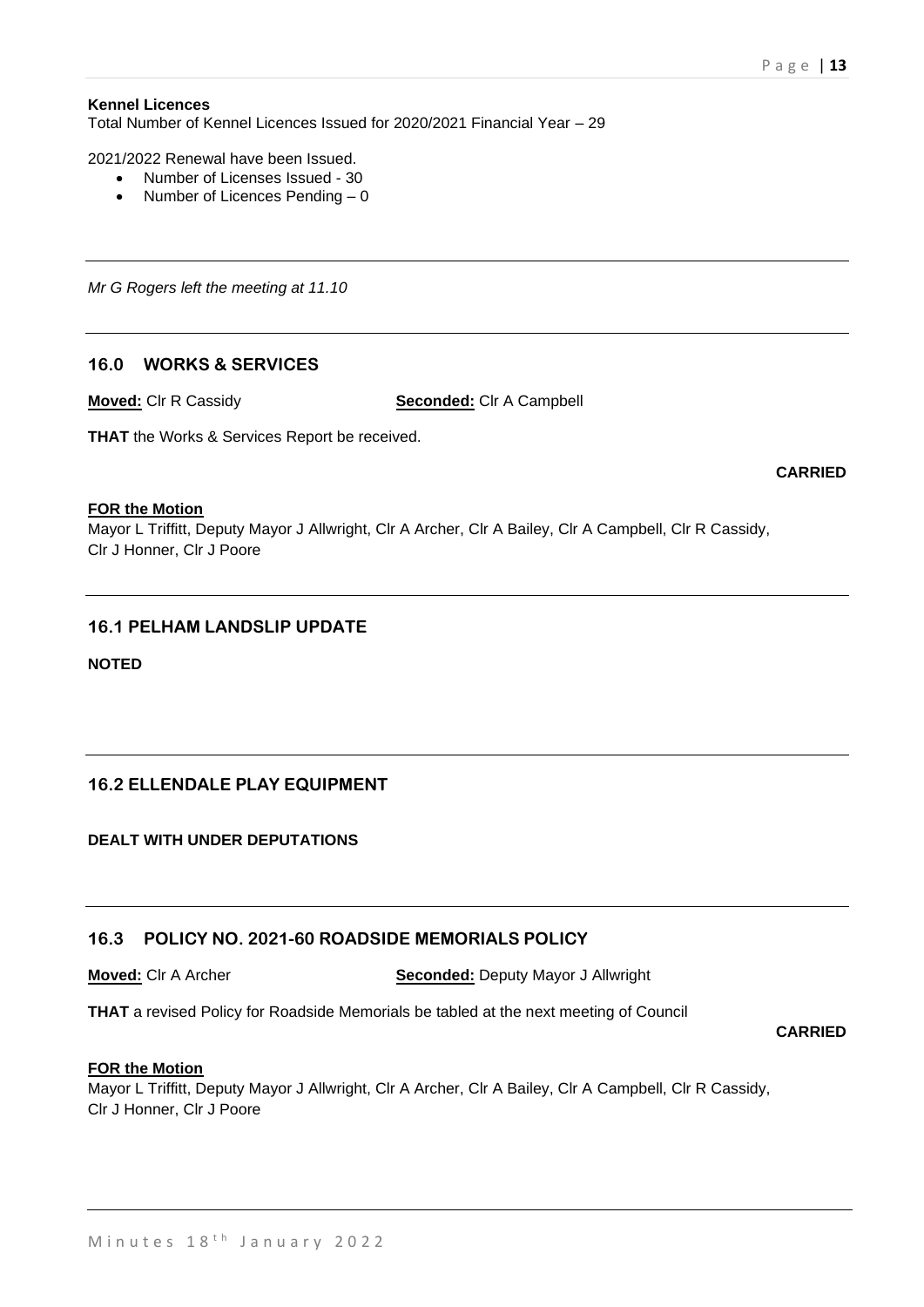#### **Kennel Licences**

Total Number of Kennel Licences Issued for 2020/2021 Financial Year – 29

2021/2022 Renewal have been Issued.

- Number of Licenses Issued 30
- Number of Licences Pending 0

*Mr G Rogers left the meeting at 11.10*

# **16.0 WORKS & SERVICES**

**Moved:** Clr R Cassidy **Seconded:** Clr A Campbell

**THAT** the Works & Services Report be received.

**CARRIED**

#### **FOR the Motion**

Mayor L Triffitt, Deputy Mayor J Allwright, Clr A Archer, Clr A Bailey, Clr A Campbell, Clr R Cassidy, Clr J Honner, Clr J Poore

#### **16.1 PELHAM LANDSLIP UPDATE**

**NOTED**

#### **16.2 ELLENDALE PLAY EQUIPMENT**

**DEALT WITH UNDER DEPUTATIONS**

#### **16.3 POLICY NO. 2021-60 ROADSIDE MEMORIALS POLICY**

**Moved:** Clr A Archer **Seconded:** Deputy Mayor J Allwright

**THAT** a revised Policy for Roadside Memorials be tabled at the next meeting of Council

#### **CARRIED**

#### **FOR the Motion**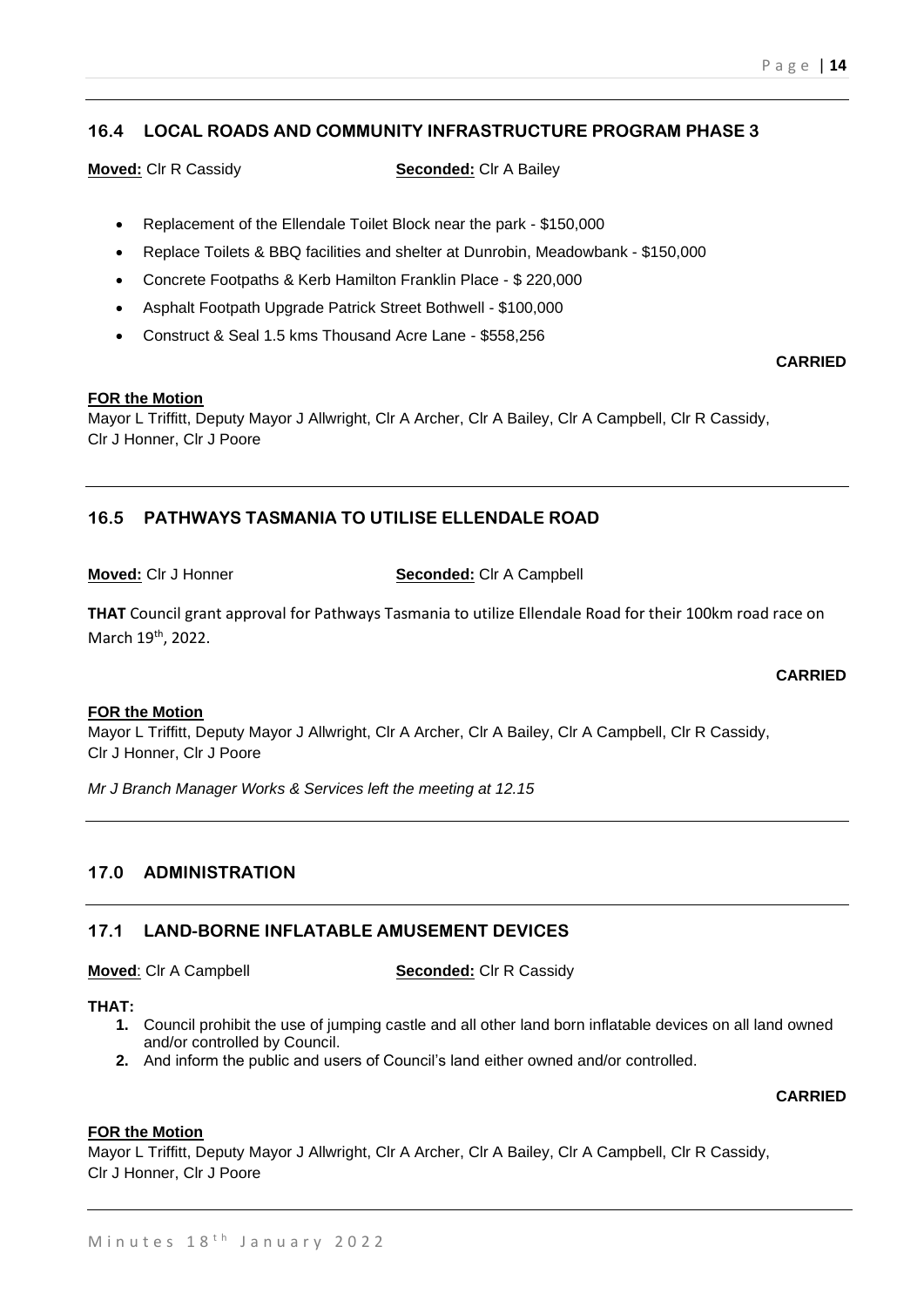# **16.4 LOCAL ROADS AND COMMUNITY INFRASTRUCTURE PROGRAM PHASE 3**

**Moved:** Clr R Cassidy **Seconded:** Clr A Bailey

- Replacement of the Ellendale Toilet Block near the park \$150,000
- Replace Toilets & BBQ facilities and shelter at Dunrobin, Meadowbank \$150,000
- Concrete Footpaths & Kerb Hamilton Franklin Place \$ 220,000
- Asphalt Footpath Upgrade Patrick Street Bothwell \$100,000
- Construct & Seal 1.5 kms Thousand Acre Lane \$558,256

#### **FOR the Motion**

Mayor L Triffitt, Deputy Mayor J Allwright, Clr A Archer, Clr A Bailey, Clr A Campbell, Clr R Cassidy, Clr J Honner, Clr J Poore

# **16.5 PATHWAYS TASMANIA TO UTILISE ELLENDALE ROAD**

**Moved:** Clr J Honner **Seconded:** Clr A Campbell

**THAT** Council grant approval for Pathways Tasmania to utilize Ellendale Road for their 100km road race on March 19<sup>th</sup>, 2022.

#### **CARRIED**

#### **FOR the Motion**

Mayor L Triffitt, Deputy Mayor J Allwright, Clr A Archer, Clr A Bailey, Clr A Campbell, Clr R Cassidy, Clr J Honner, Clr J Poore

*Mr J Branch Manager Works & Services left the meeting at 12.15*

# **17.0 ADMINISTRATION**

#### **17.1 LAND-BORNE INFLATABLE AMUSEMENT DEVICES**

**Moved:** Clr A Campbell **Seconded:** Clr R Cassidy

#### **THAT:**

- **1.** Council prohibit the use of jumping castle and all other land born inflatable devices on all land owned and/or controlled by Council.
- **2.** And inform the public and users of Council's land either owned and/or controlled.

#### **CARRIED**

#### **FOR the Motion**

Mayor L Triffitt, Deputy Mayor J Allwright, Clr A Archer, Clr A Bailey, Clr A Campbell, Clr R Cassidy, Clr J Honner, Clr J Poore

# **CARRIED**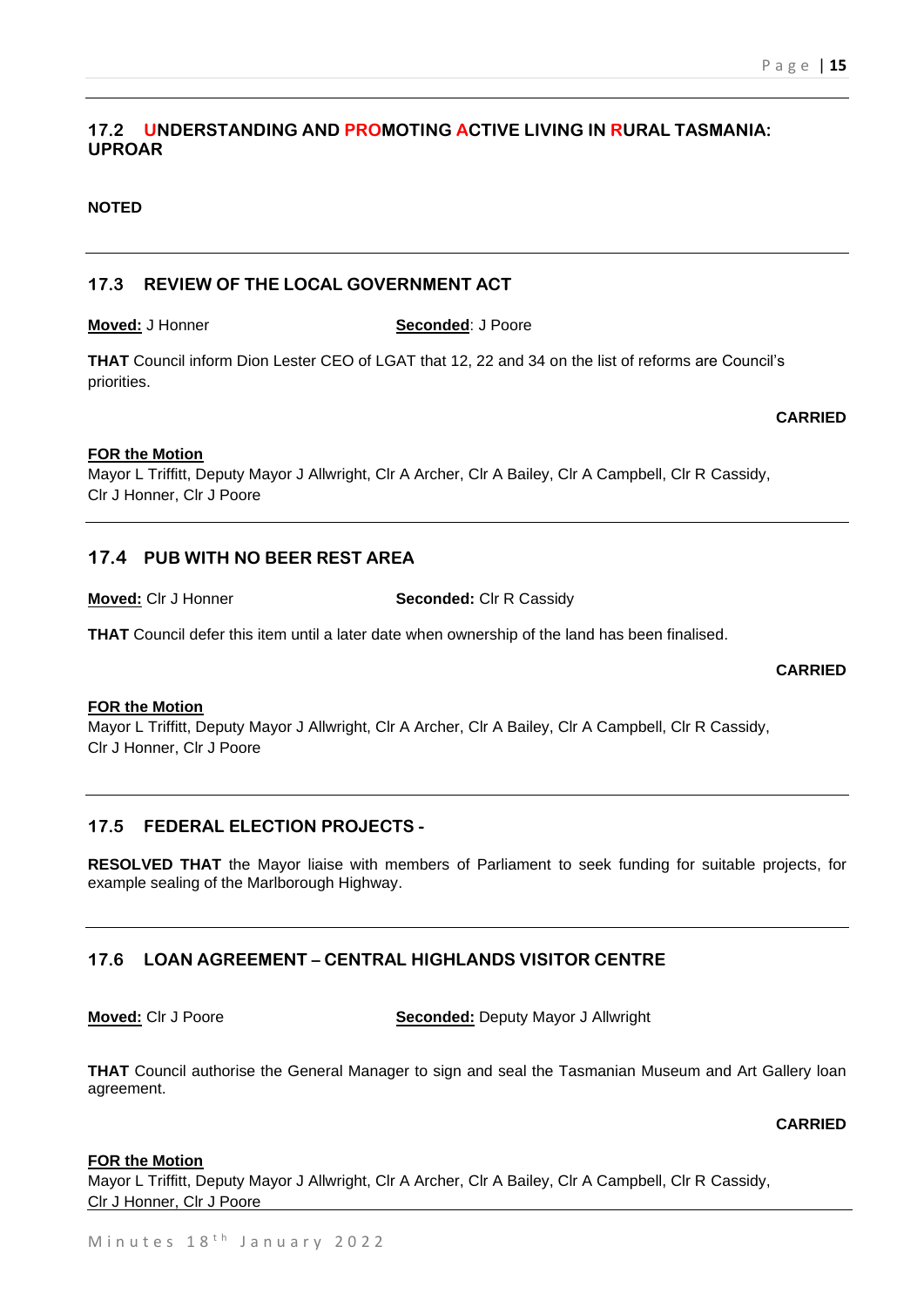# **17.2 UNDERSTANDING AND PROMOTING ACTIVE LIVING IN RURAL TASMANIA: UPROAR**

#### **NOTED**

### **17.3 REVIEW OF THE LOCAL GOVERNMENT ACT**

**THAT** Council inform Dion Lester CEO of LGAT that 12, 22 and 34 on the list of reforms are Council's priorities.

#### **FOR the Motion**

Mayor L Triffitt, Deputy Mayor J Allwright, Clr A Archer, Clr A Bailey, Clr A Campbell, Clr R Cassidy, Clr J Honner, Clr J Poore

#### **17.4 PUB WITH NO BEER REST AREA**

**Moved:** Clr J Honner **Seconded:** Clr R Cassidy

**THAT** Council defer this item until a later date when ownership of the land has been finalised.

#### **CARRIED**

**CARRIED**

#### **FOR the Motion**

Mayor L Triffitt, Deputy Mayor J Allwright, Clr A Archer, Clr A Bailey, Clr A Campbell, Clr R Cassidy, Clr J Honner, Clr J Poore

#### **17.5 FEDERAL ELECTION PROJECTS -**

**RESOLVED THAT** the Mayor liaise with members of Parliament to seek funding for suitable projects, for example sealing of the Marlborough Highway.

# **17.6 LOAN AGREEMENT – CENTRAL HIGHLANDS VISITOR CENTRE**

**Moved:** Clr J Poore **Seconded:** Deputy Mayor J Allwright

**THAT** Council authorise the General Manager to sign and seal the Tasmanian Museum and Art Gallery loan agreement.

#### **CARRIED**

#### **FOR the Motion**

Mayor L Triffitt, Deputy Mayor J Allwright, Clr A Archer, Clr A Bailey, Clr A Campbell, Clr R Cassidy, Clr J Honner, Clr J Poore

#### **Moved:** J Honner **Seconded**: J Poore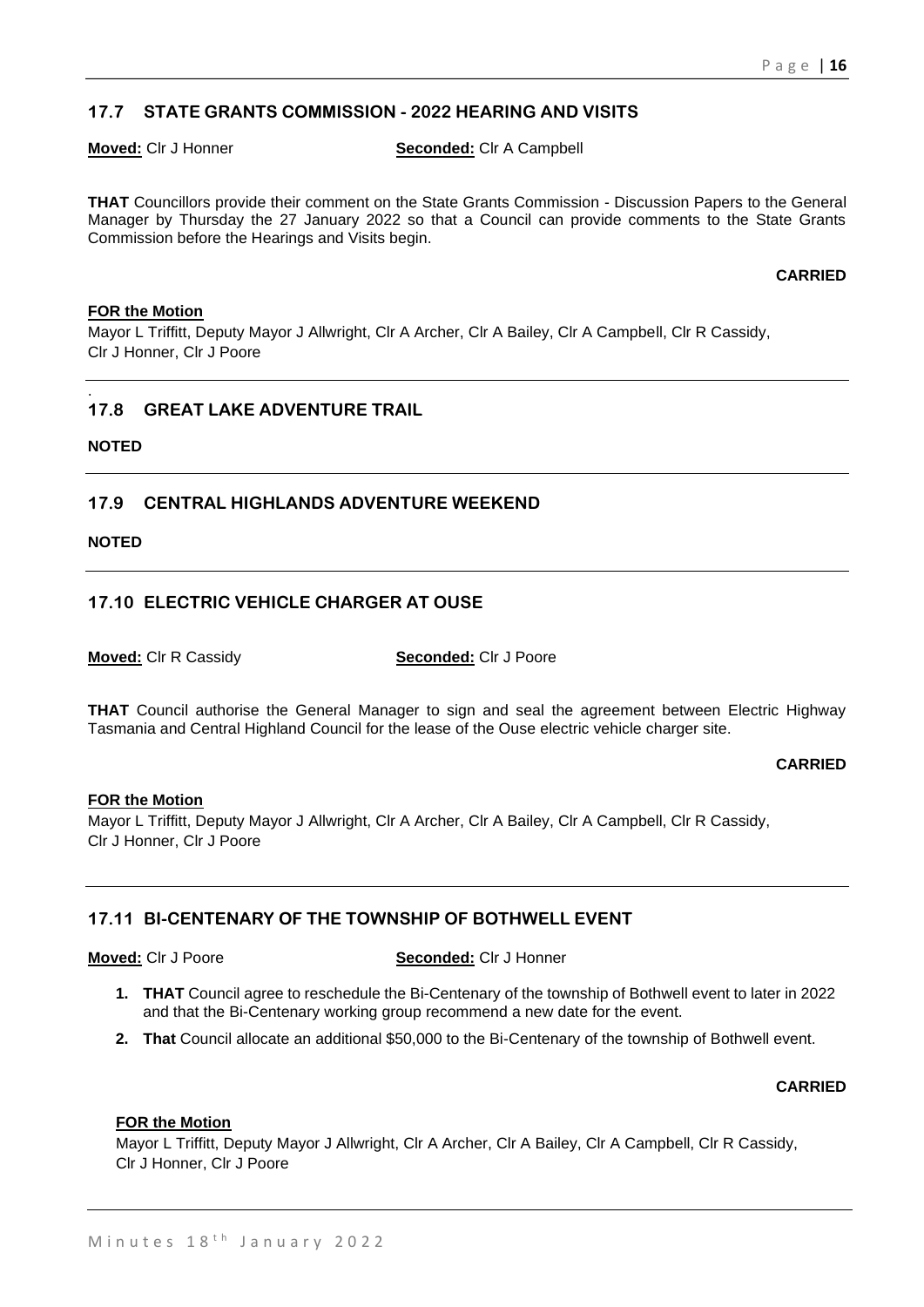# **17.7 STATE GRANTS COMMISSION - 2022 HEARING AND VISITS**

**Moved:** Clr J Honner **Seconded:** Clr A Campbell

**THAT** Councillors provide their comment on the State Grants Commission - Discussion Papers to the General Manager by Thursday the 27 January 2022 so that a Council can provide comments to the State Grants Commission before the Hearings and Visits begin.

**CARRIED**

#### **FOR the Motion**

Mayor L Triffitt, Deputy Mayor J Allwright, Clr A Archer, Clr A Bailey, Clr A Campbell, Clr R Cassidy, Clr J Honner, Clr J Poore

#### . **17.8 GREAT LAKE ADVENTURE TRAIL**

**NOTED**

# **17.9 CENTRAL HIGHLANDS ADVENTURE WEEKEND**

**NOTED**

# **17.10 ELECTRIC VEHICLE CHARGER AT OUSE**

**Moved:** Clr R Cassidy **Seconded:** Clr J Poore

**THAT** Council authorise the General Manager to sign and seal the agreement between Electric Highway Tasmania and Central Highland Council for the lease of the Ouse electric vehicle charger site.

#### **CARRIED**

#### **FOR the Motion**

Mayor L Triffitt, Deputy Mayor J Allwright, Clr A Archer, Clr A Bailey, Clr A Campbell, Clr R Cassidy, Clr J Honner, Clr J Poore

# **17.11 BI-CENTENARY OF THE TOWNSHIP OF BOTHWELL EVENT**

**Moved:** Clr J Poore **Seconded:** Clr J Honner

- **1. THAT** Council agree to reschedule the Bi-Centenary of the township of Bothwell event to later in 2022 and that the Bi-Centenary working group recommend a new date for the event.
- **2. That** Council allocate an additional \$50,000 to the Bi-Centenary of the township of Bothwell event.

#### **CARRIED**

#### **FOR the Motion**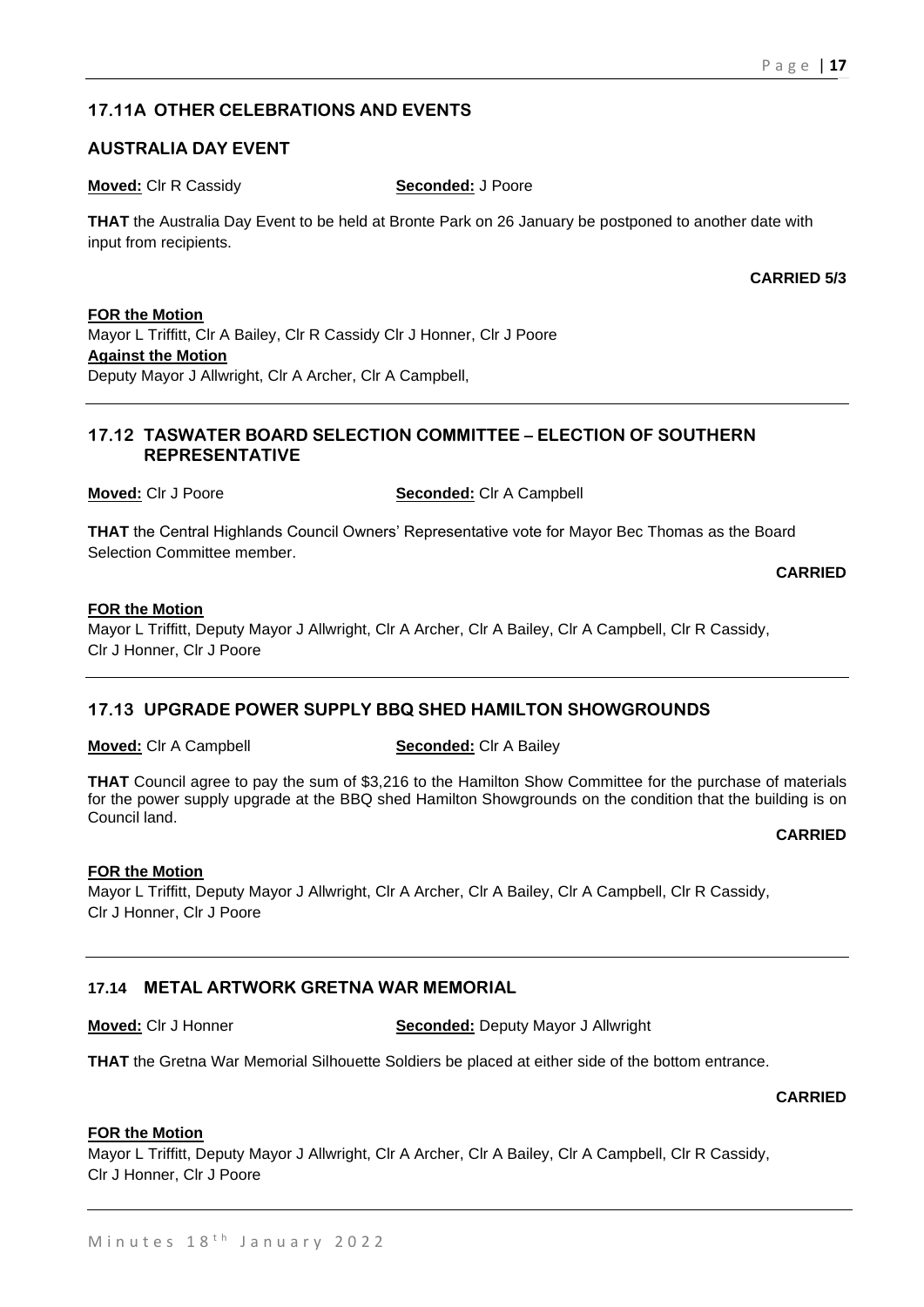# **17.11A OTHER CELEBRATIONS AND EVENTS**

# **AUSTRALIA DAY EVENT**

**Moved:** Clr R Cassidy **Seconded:** J Poore

**THAT** the Australia Day Event to be held at Bronte Park on 26 January be postponed to another date with input from recipients.

**CARRIED 5/3**

### **FOR the Motion**

Mayor L Triffitt, Clr A Bailey, Clr R Cassidy Clr J Honner, Clr J Poore **Against the Motion** Deputy Mayor J Allwright, Clr A Archer, Clr A Campbell,

# **17.12 TASWATER BOARD SELECTION COMMITTEE – ELECTION OF SOUTHERN REPRESENTATIVE**

**Moved:** Clr J Poore **Seconded:** Clr A Campbell

**THAT** the Central Highlands Council Owners' Representative vote for Mayor Bec Thomas as the Board Selection Committee member.

**CARRIED**

# **FOR the Motion**

Mayor L Triffitt, Deputy Mayor J Allwright, Clr A Archer, Clr A Bailey, Clr A Campbell, Clr R Cassidy, Clr J Honner, Clr J Poore

# **17.13 UPGRADE POWER SUPPLY BBQ SHED HAMILTON SHOWGROUNDS**

#### **Moved:** Clr A Campbell **Seconded:** Clr A Bailey

**THAT** Council agree to pay the sum of \$3,216 to the Hamilton Show Committee for the purchase of materials for the power supply upgrade at the BBQ shed Hamilton Showgrounds on the condition that the building is on Council land.

#### **CARRIED**

# **FOR the Motion**

Mayor L Triffitt, Deputy Mayor J Allwright, Clr A Archer, Clr A Bailey, Clr A Campbell, Clr R Cassidy, Clr J Honner, Clr J Poore

# **17.14 METAL ARTWORK GRETNA WAR MEMORIAL**

**Moved:** Clr J Honner **Seconded:** Deputy Mayor J Allwright

**THAT** the Gretna War Memorial Silhouette Soldiers be placed at either side of the bottom entrance.

**CARRIED**

# **FOR the Motion**